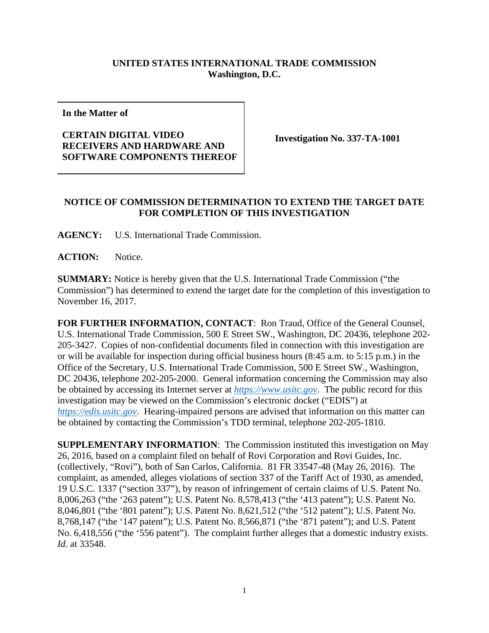## **UNITED STATES INTERNATIONAL TRADE COMMISSION Washington, D.C.**

**In the Matter of** 

## **CERTAIN DIGITAL VIDEO RECEIVERS AND HARDWARE AND SOFTWARE COMPONENTS THEREOF**

**Investigation No. 337-TA-1001** 

## **NOTICE OF COMMISSION DETERMINATION TO EXTEND THE TARGET DATE FOR COMPLETION OF THIS INVESTIGATION**

**AGENCY:** U.S. International Trade Commission.

**ACTION:** Notice.

**SUMMARY:** Notice is hereby given that the U.S. International Trade Commission ("the Commission") has determined to extend the target date for the completion of this investigation to November 16, 2017.

**FOR FURTHER INFORMATION, CONTACT**: Ron Traud, Office of the General Counsel, U.S. International Trade Commission, 500 E Street SW., Washington, DC 20436, telephone 202- 205-3427. Copies of non-confidential documents filed in connection with this investigation are or will be available for inspection during official business hours (8:45 a.m. to 5:15 p.m.) in the Office of the Secretary, U.S. International Trade Commission, 500 E Street SW., Washington, DC 20436, telephone 202-205-2000. General information concerning the Commission may also be obtained by accessing its Internet server at *https://www.usitc.gov*. The public record for this investigation may be viewed on the Commission's electronic docket ("EDIS") at *https://edis.usitc.gov*. Hearing-impaired persons are advised that information on this matter can be obtained by contacting the Commission's TDD terminal, telephone 202-205-1810.

**SUPPLEMENTARY INFORMATION**: The Commission instituted this investigation on May 26, 2016, based on a complaint filed on behalf of Rovi Corporation and Rovi Guides, Inc. (collectively, "Rovi"), both of San Carlos, California. 81 FR 33547-48 (May 26, 2016). The complaint, as amended, alleges violations of section 337 of the Tariff Act of 1930, as amended, 19 U.S.C. 1337 ("section 337"), by reason of infringement of certain claims of U.S. Patent No. 8,006,263 ("the '263 patent"); U.S. Patent No. 8,578,413 ("the '413 patent"); U.S. Patent No. 8,046,801 ("the '801 patent"); U.S. Patent No. 8,621,512 ("the '512 patent"); U.S. Patent No. 8,768,147 ("the '147 patent"); U.S. Patent No. 8,566,871 ("the '871 patent"); and U.S. Patent No. 6,418,556 ("the '556 patent"). The complaint further alleges that a domestic industry exists. *Id.* at 33548.